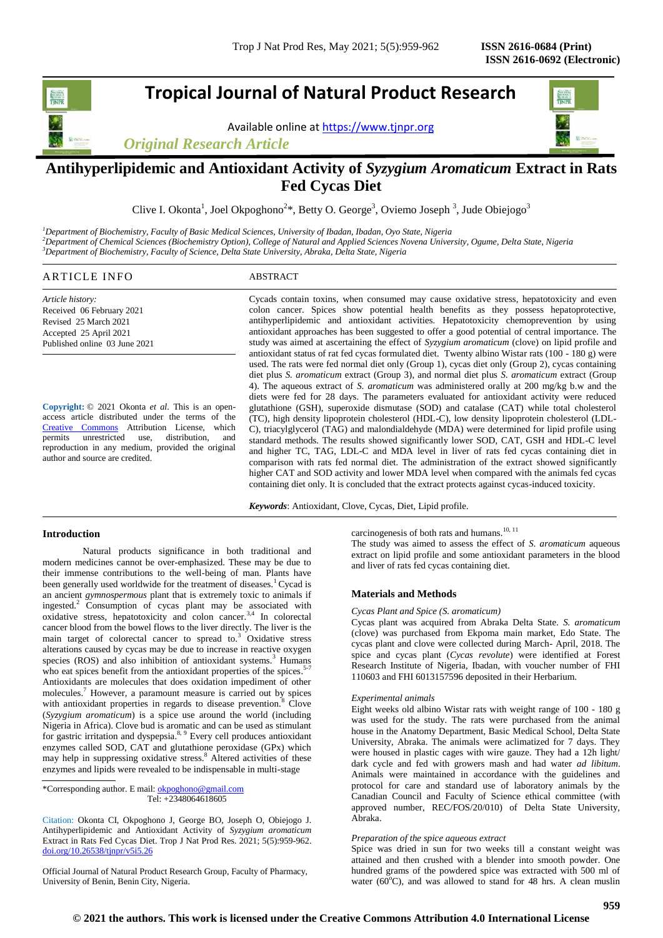# **Tropical Journal of Natural Product Research**

Available online a[t https://www.tjnpr.org](https://www.tjnpr.org/)

*Original Research Article*



# **Antihyperlipidemic and Antioxidant Activity of** *Syzygium Aromaticum* **Extract in Rats Fed Cycas Diet**

Clive I. Okonta<sup>1</sup>, Joel Okpoghono<sup>2\*</sup>, Betty O. George<sup>3</sup>, Oviemo Joseph<sup>3</sup>, Jude Obiejogo<sup>3</sup>

*<sup>1</sup>Department of Biochemistry, Faculty of Basic Medical Sciences, University of Ibadan, Ibadan, Oyo State, Nigeria <sup>2</sup>Department of Chemical Sciences (Biochemistry Option), College of Natural and Applied Sciences Novena University, Ogume, Delta State, Nigeria <sup>3</sup>Department of Biochemistry, Faculty of Science, Delta State University, Abraka, Delta State, Nigeria* 

# ARTICLE INFO ABSTRACT

*Article history:* Received 06 February 2021 Revised 25 March 2021 Accepted 25 April 2021 Published online 03 June 2021

**Copyright:** © 2021 Okonta *et al*. This is an openaccess article distributed under the terms of the [Creative Commons](https://creativecommons.org/licenses/by/4.0/) Attribution License, which permits unrestricted use, distribution, and reproduction in any medium, provided the original author and source are credited.

Cycads contain toxins, when consumed may cause oxidative stress, hepatotoxicity and even colon cancer. Spices show potential health benefits as they possess hepatoprotective, antihyperlipidemic and antioxidant activities. Hepatotoxicity chemoprevention by using antioxidant approaches has been suggested to offer a good potential of central importance. The study was aimed at ascertaining the effect of *Syzygium aromaticum* (clove) on lipid profile and antioxidant status of rat fed cycas formulated diet. Twenty albino Wistar rats (100 - 180 g) were used. The rats were fed normal diet only (Group 1), cycas diet only (Group 2), cycas containing diet plus *S. aromaticum* extract (Group 3), and normal diet plus *S. aromaticum* extract (Group 4). The aqueous extract of *S. aromaticum* was administered orally at 200 mg/kg b.w and the diets were fed for 28 days. The parameters evaluated for antioxidant activity were reduced glutathione (GSH), superoxide dismutase (SOD) and catalase (CAT) while total cholesterol (TC), high density lipoprotein cholesterol (HDL-C), low density lipoprotein cholesterol (LDL-C), triacylglycerol (TAG) and malondialdehyde (MDA) were determined for lipid profile using standard methods. The results showed significantly lower SOD, CAT, GSH and HDL-C level and higher TC, TAG, LDL-C and MDA level in liver of rats fed cycas containing diet in comparison with rats fed normal diet. The administration of the extract showed significantly higher CAT and SOD activity and lower MDA level when compared with the animals fed cycas containing diet only. It is concluded that the extract protects against cycas-induced toxicity.

*Keywords*: Antioxidant, Clove, Cycas, Diet, Lipid profile.

# **Introduction**

Natural products significance in both traditional and modern medicines cannot be over-emphasized. These may be due to their immense contributions to the well-being of man. Plants have been generally used worldwide for the treatment of diseases.<sup>1</sup> Cycad is an ancient *gymnospermous* plant that is extremely toxic to animals if ingested.<sup>2</sup> Consumption of cycas plant may be associated with oxidative stress, hepatotoxicity and colon cancer.3,4 In colorectal cancer blood from the bowel flows to the liver directly. The liver is the main target of colorectal cancer to spread to.<sup>3</sup> Oxidative stress alterations caused by cycas may be due to increase in reactive oxygen species  $(ROS)$  and also inhibition of antioxidant systems.<sup>3</sup> Humans who eat spices benefit from the antioxidant properties of the spices.<sup>5-7</sup> Antioxidants are molecules that does oxidation impediment of other molecules.<sup>7</sup> However, a paramount measure is carried out by spices with antioxidant properties in regards to disease prevention.<sup>8</sup> Clove (*Syzygium aromaticum*) is a spice use around the world (including Nigeria in Africa). Clove bud is aromatic and can be used as stimulant for gastric irritation and dyspepsia.<sup>8, 9</sup> Every cell produces antioxidant enzymes called SOD, CAT and glutathione peroxidase (GPx) which may help in suppressing oxidative stress.<sup>8</sup> Altered activities of these enzymes and lipids were revealed to be indispensable in multi-stage

\*Corresponding author. E mail[: okpoghono@gmail.com](mailto:okpoghono@gmail.com) Tel: +2348064618605

Citation: Okonta CI, Okpoghono J, George BO, Joseph O, Obiejogo J. Antihyperlipidemic and Antioxidant Activity of *Syzygium aromaticum*  Extract in Rats Fed Cycas Diet. Trop J Nat Prod Res. 2021; 5(5):959-962. [doi.org/10.26538/tjnpr/v5i5.2](http://www.doi.org/10.26538/tjnpr/v1i4.5)6

Official Journal of Natural Product Research Group, Faculty of Pharmacy, University of Benin, Benin City, Nigeria.

carcinogenesis of both rats and humans.<sup>10, 11</sup>

The study was aimed to assess the effect of *S. aromaticum* aqueous extract on lipid profile and some antioxidant parameters in the blood and liver of rats fed cycas containing diet.

# **Materials and Methods**

#### *Cycas Plant and Spice (S. aromaticum)*

Cycas plant was acquired from Abraka Delta State. *S. aromaticum* (clove) was purchased from Ekpoma main market, Edo State. The cycas plant and clove were collected during March- April, 2018. The spice and cycas plant (*Cycas revolute*) were identified at Forest Research Institute of Nigeria, Ibadan, with voucher number of FHI 110603 and FHI 6013157596 deposited in their Herbarium.

# *Experimental animals*

Eight weeks old albino Wistar rats with weight range of 100 - 180 g was used for the study. The rats were purchased from the animal house in the Anatomy Department, Basic Medical School, Delta State University, Abraka. The animals were aclimatized for 7 days. They were housed in plastic cages with wire gauze. They had a 12h light/ dark cycle and fed with growers mash and had water *ad libitum*. Animals were maintained in accordance with the guidelines and protocol for care and standard use of laboratory animals by the Canadian Council and Faculty of Science ethical committee (with approved number, REC/FOS/20/010) of Delta State University, Abraka.

## *Preparation of the spice aqueous extract*

Spice was dried in sun for two weeks till a constant weight was attained and then crushed with a blender into smooth powder. One hundred grams of the powdered spice was extracted with 500 ml of water ( $60^{\circ}$ C), and was allowed to stand for 48 hrs. A clean muslin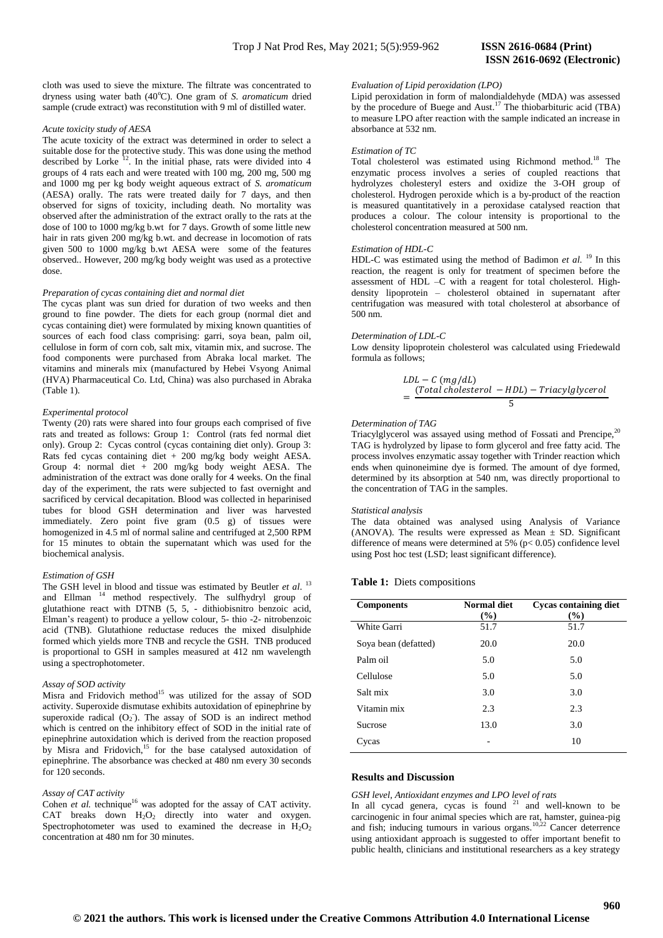#### *Acute toxicity study of AESA*

The acute toxicity of the extract was determined in order to select a suitable dose for the protective study. This was done using the method described by Lorke  $^{12}$ . In the initial phase, rats were divided into 4 groups of 4 rats each and were treated with 100 mg, 200 mg, 500 mg and 1000 mg per kg body weight aqueous extract of *S. aromaticum* (AESA) orally. The rats were treated daily for 7 days, and then observed for signs of toxicity, including death. No mortality was observed after the administration of the extract orally to the rats at the dose of 100 to 1000 mg/kg b.wt for 7 days. Growth of some little new hair in rats given 200 mg/kg b.wt. and decrease in locomotion of rats given 500 to 1000 mg/kg b.wt AESA were some of the features observed.. However, 200 mg/kg body weight was used as a protective dose.

#### *Preparation of cycas containing diet and normal diet*

The cycas plant was sun dried for duration of two weeks and then ground to fine powder. The diets for each group (normal diet and cycas containing diet) were formulated by mixing known quantities of sources of each food class comprising: garri, soya bean, palm oil, cellulose in form of corn cob, salt mix, vitamin mix, and sucrose. The food components were purchased from Abraka local market. The vitamins and minerals mix (manufactured by Hebei Vsyong Animal (HVA) Pharmaceutical Co. Ltd, China) was also purchased in Abraka (Table 1).

#### *Experimental protocol*

Twenty (20) rats were shared into four groups each comprised of five rats and treated as follows: Group 1: Control (rats fed normal diet only). Group 2: Cycas control (cycas containing diet only). Group 3: Rats fed cycas containing diet + 200 mg/kg body weight AESA. Group 4: normal diet + 200 mg/kg body weight AESA*.* The administration of the extract was done orally for 4 weeks. On the final day of the experiment, the rats were subjected to fast overnight and sacrificed by cervical decapitation. Blood was collected in heparinised tubes for blood GSH determination and liver was harvested immediately. Zero point five gram (0.5 g) of tissues were homogenized in 4.5 ml of normal saline and centrifuged at 2,500 RPM for 15 minutes to obtain the supernatant which was used for the biochemical analysis.

#### *Estimation of GSH*

The GSH level in blood and tissue was estimated by Beutler et al.<sup>13</sup> and Ellman <sup>14</sup> method respectively. The sulfhydryl group of glutathione react with DTNB (5, 5, - dithiobisnitro benzoic acid, Elman's reagent) to produce a yellow colour, 5- thio -2- nitrobenzoic acid (TNB). Glutathione reductase reduces the mixed disulphide formed which yields more TNB and recycle the GSH. TNB produced is proportional to GSH in samples measured at 412 nm wavelength using a spectrophotometer.

# *Assay of SOD activity*

Misra and Fridovich method<sup>15</sup> was utilized for the assay of SOD activity. Superoxide dismutase exhibits autoxidation of epinephrine by superoxide radical  $(O_2)$ . The assay of SOD is an indirect method which is centred on the inhibitory effect of SOD in the initial rate of epinephrine autoxidation which is derived from the reaction proposed by Misra and Fridovich,<sup>15</sup> for the base catalysed autoxidation of epinephrine. The absorbance was checked at 480 nm every 30 seconds for 120 seconds.

#### *Assay of CAT activity*

Cohen *et al.* technique<sup>16</sup> was adopted for the assay of CAT activity. CAT breaks down  $H_2O_2$  directly into water and oxygen. Spectrophotometer was used to examined the decrease in  $H_2O_2$ concentration at 480 nm for 30 minutes.

# **ISSN 2616-0692 (Electronic)**

#### *Evaluation of Lipid peroxidation (LPO)*

Lipid peroxidation in form of malondialdehyde (MDA) was assessed by the procedure of Buege and Aust.<sup>17</sup> The thiobarbituric acid (TBA) to measure LPO after reaction with the sample indicated an increase in absorbance at 532 nm.

#### *Estimation of TC*

Total cholesterol was estimated using Richmond method.<sup>18</sup> The enzymatic process involves a series of coupled reactions that hydrolyzes cholesteryl esters and oxidize the 3-OH group of cholesterol. Hydrogen peroxide which is a by-product of the reaction is measured quantitatively in a peroxidase catalysed reaction that produces a colour. The colour intensity is proportional to the cholesterol concentration measured at 500 nm.

# *Estimation of HDL-C*

HDL-C was estimated using the method of Badimon *et al.* <sup>19</sup> In this reaction, the reagent is only for treatment of specimen before the assessment of HDL –C with a reagent for total cholesterol. Highdensity lipoprotein – cholesterol obtained in supernatant after centrifugation was measured with total cholesterol at absorbance of 500 nm.

#### *Determination of LDL-C*

Low density lipoprotein cholesterol was calculated using Friedewald formula as follows;

$$
LDL - C (mg/dL)
$$
  
= 
$$
\frac{(Total cholesterol - HDL) - Triacylglycerol}{5}
$$

#### *Determination of TAG*

Triacylglycerol was assayed using method of Fossati and Prencipe,<sup>20</sup> TAG is hydrolyzed by lipase to form glycerol and free fatty acid. The process involves enzymatic assay together with Trinder reaction which ends when quinoneimine dye is formed. The amount of dye formed, determined by its absorption at 540 nm, was directly proportional to the concentration of TAG in the samples.

#### *Statistical analysis*

The data obtained was analysed using Analysis of Variance (ANOVA). The results were expressed as Mean  $\pm$  SD. Significant difference of means were determined at 5% ( $p < 0.05$ ) confidence level using Post hoc test (LSD; least significant difference).

# **Table 1:** Diets compositions

| <b>Components</b>    | <b>Normal diet</b><br>(%) | <b>Cycas containing diet</b><br>$(\%)$ |
|----------------------|---------------------------|----------------------------------------|
| White Garri          | 51.7                      | 51.7                                   |
| Soya bean (defatted) | 20.0                      | 20.0                                   |
| Palm oil             | 5.0                       | 5.0                                    |
| Cellulose            | 5.0                       | 5.0                                    |
| Salt mix             | 3.0                       | 3.0                                    |
| Vitamin mix          | 2.3                       | 2.3                                    |
| <b>Sucrose</b>       | 13.0                      | 3.0                                    |
| Cycas                |                           | 10                                     |

#### **Results and Discussion**

#### *GSH level, Antioxidant enzymes and LPO level of rats*

In all cycad genera, cycas is found  $21$  and well-known to be carcinogenic in four animal species which are rat, hamster, guinea-pig and fish; inducing tumours in various organs.<sup>10,22</sup> Cancer deterrence using antioxidant approach is suggested to offer important benefit to public health, clinicians and institutional researchers as a key strategy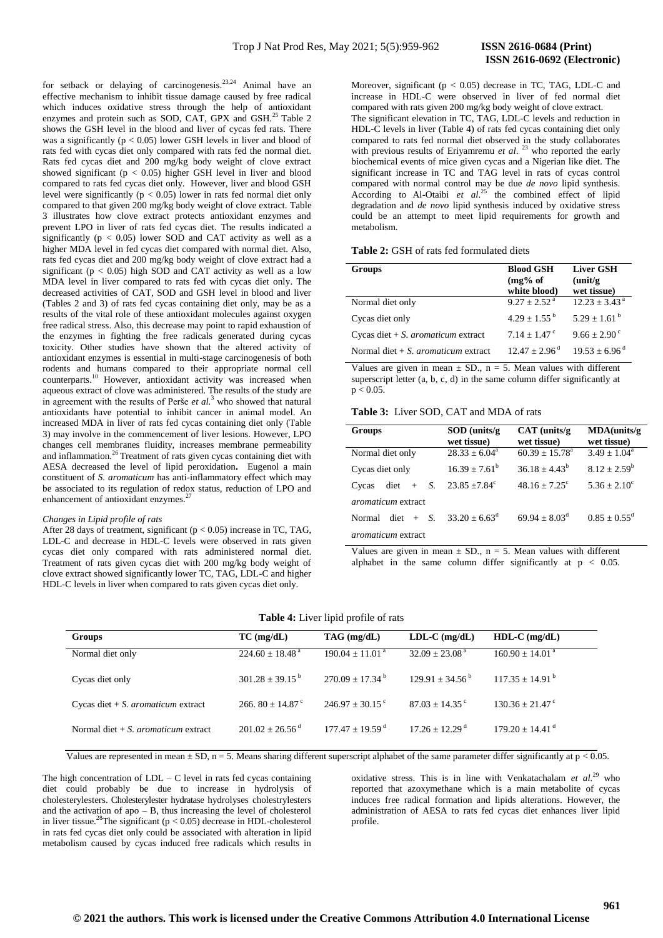for setback or delaying of carcinogenesis.<sup>23,24</sup> Animal have an effective mechanism to inhibit tissue damage caused by free radical which induces oxidative stress through the help of antioxidant enzymes and protein such as SOD, CAT, GPX and GSH.<sup>25</sup> Table 2 shows the GSH level in the blood and liver of cycas fed rats. There was a significantly ( $p < 0.05$ ) lower GSH levels in liver and blood of rats fed with cycas diet only compared with rats fed the normal diet. Rats fed cycas diet and 200 mg/kg body weight of clove extract showed significant (p < 0.05) higher GSH level in liver and blood compared to rats fed cycas diet only. However, liver and blood GSH level were significantly ( $p < 0.05$ ) lower in rats fed normal diet only compared to that given 200 mg/kg body weight of clove extract. Table 3 illustrates how clove extract protects antioxidant enzymes and prevent LPO in liver of rats fed cycas diet. The results indicated a significantly ( $p < 0.05$ ) lower SOD and CAT activity as well as a higher MDA level in fed cycas diet compared with normal diet. Also, rats fed cycas diet and 200 mg/kg body weight of clove extract had a significant ( $p < 0.05$ ) high SOD and CAT activity as well as a low MDA level in liver compared to rats fed with cycas diet only. The decreased activities of CAT, SOD and GSH level in blood and liver (Tables 2 and 3) of rats fed cycas containing diet only, may be as a results of the vital role of these antioxidant molecules against oxygen free radical stress. Also, this decrease may point to rapid exhaustion of the enzymes in fighting the free radicals generated during cycas toxicity. Other studies have shown that the altered activity of antioxidant enzymes is essential in multi-stage carcinogenesis of both rodents and humans compared to their appropriate normal cell counterparts. <sup>10</sup> However, antioxidant activity was increased when aqueous extract of clove was administered. The results of the study are in agreement with the results of Perše *et al.*<sup>3</sup> who showed that natural antioxidants have potential to inhibit cancer in animal model. An increased MDA in liver of rats fed cycas containing diet only (Table 3) may involve in the commencement of liver lesions. However, LPO changes cell membranes fluidity, increases membrane permeability and inflammation.<sup>26</sup> Treatment of rats given cycas containing diet with AESA decreased the level of lipid peroxidation**.** Eugenol a main constituent of *S. aromaticum* has anti-inflammatory effect which may be associated to its regulation of redox status, reduction of LPO and enhancement of antioxidant enzymes.<sup>2</sup>

### *Changes in Lipid profile of rats*

After 28 days of treatment, significant (p < 0.05) increase in TC, TAG, LDL-C and decrease in HDL-C levels were observed in rats given cycas diet only compared with rats administered normal diet. Treatment of rats given cycas diet with 200 mg/kg body weight of clove extract showed significantly lower TC, TAG, LDL-C and higher HDL-C levels in liver when compared to rats given cycas diet only.

Moreover, significant ( $p < 0.05$ ) decrease in TC, TAG, LDL-C and increase in HDL-C were observed in liver of fed normal diet compared with rats given 200 mg/kg body weight of clove extract. The significant elevation in TC, TAG, LDL-C levels and reduction in HDL-C levels in liver (Table 4) of rats fed cycas containing diet only compared to rats fed normal diet observed in the study collaborates with previous results of Eriyamremu *et al.* <sup>23</sup> who reported the early biochemical events of mice given cycas and a Nigerian like diet. The significant increase in TC and TAG level in rats of cycas control compared with normal control may be due *de novo* lipid synthesis. According to Al-Otaibi et al.<sup>25</sup> the combined effect of lipid degradation and *de novo* lipid synthesis induced by oxidative stress could be an attempt to meet lipid requirements for growth and metabolism.

## **Table 2:** GSH of rats fed formulated diets

| <b>Groups</b>                                 | <b>Blood GSH</b><br>$(mg\%$ of<br>white blood) | <b>Liver GSH</b><br>(unit/g)<br>wet tissue) |
|-----------------------------------------------|------------------------------------------------|---------------------------------------------|
| Normal diet only                              | $9.27 + 2.52^{\text{a}}$                       | $12.23 \pm 3.43$ <sup>a</sup>               |
| Cycas diet only                               | $4.29 + 1.55^{b}$                              | $5.29 + 1.61^{b}$                           |
| Cycas diet $+ S$ . <i>aromaticum</i> extract  | $7.14 + 1.47$ <sup>c</sup>                     | $9.66 + 2.90^{\circ}$                       |
| Normal diet $+ S$ , <i>aromaticum</i> extract | $12.47 + 2.96$ <sup>d</sup>                    | $19.53 + 6.96^{\text{d}}$                   |

Values are given in mean  $\pm$  SD., n = 5. Mean values with different superscript letter (a, b, c, d) in the same column differ significantly at  $p < 0.05$ .

# **Table 3:** Liver SOD, CAT and MDA of rats

| Groups                     | $SOD$ (units/g)<br>wet tissue) | $CAT$ (units/g)<br>wet tissue) | $MDA$ (units/g)<br>wet tissue) |  |  |
|----------------------------|--------------------------------|--------------------------------|--------------------------------|--|--|
| Normal diet only           | $28.33 + 6.04^a$               | $60.39 \pm 15.78^a$            | $3.49 + 1.04^a$                |  |  |
| Cycas diet only            | $16.39 + 7.61^b$               | $36.18 + 4.43^b$               | $8.12 + 2.59^b$                |  |  |
| S.<br>diet<br>$+$<br>Cycas | $23.85 + 7.84^{\circ}$         | $48.16 + 7.25^{\circ}$         | $5.36 + 2.10^{\circ}$          |  |  |
| <i>aromaticum</i> extract  |                                |                                |                                |  |  |
| Normal                     | diet + S. $33.20 + 6.63^d$     | $69.94 + 8.03^{\text{d}}$      | $0.85 + 0.55^d$                |  |  |
| <i>aromaticum</i> extract  |                                |                                |                                |  |  |

Values are given in mean  $\pm$  SD., n = 5. Mean values with different alphabet in the same column differ significantly at  $p < 0.05$ .

# **Table 4:** Liver lipid profile of rats

| <b>Groups</b>                                 | $TC$ (mg/dL)                   | $TAG$ (mg/dL)                 | $LDL-C$ (mg/dL)               | $HDL-C$ (mg/dL)               |
|-----------------------------------------------|--------------------------------|-------------------------------|-------------------------------|-------------------------------|
| Normal diet only                              | $224.60 + 18.48$ <sup>a</sup>  | $190.04 + 11.01^{\text{a}}$   | $32.09 + 23.08$ <sup>a</sup>  | $160.90 + 14.01$ <sup>a</sup> |
| Cycas diet only                               | $301.28 + 39.15^{b}$           | $270.09 + 17.34^{\mathrm{b}}$ | $129.91 + 34.56^{\mathrm{b}}$ | $117.35 + 14.91^{\mathrm{b}}$ |
| Cycas diet $+ S$ . <i>aromaticum</i> extract  | 266, $80 + 14.87$ <sup>c</sup> | $246.97 + 30.15$ <sup>c</sup> | $87.03 + 14.35$ <sup>c</sup>  | $130.36 + 21.47$ <sup>c</sup> |
| Normal diet $+ S$ , <i>aromaticum</i> extract | $201.02 + 26.56$ <sup>d</sup>  | $177.47 + 19.59$ <sup>d</sup> | $17.26 + 12.29$ <sup>d</sup>  | $179.20 + 14.41$ <sup>d</sup> |

Values are represented in mean  $\pm$  SD, n = 5. Means sharing different superscript alphabet of the same parameter differ significantly at p < 0.05.

The high concentration of  $LDL - C$  level in rats fed cycas containing diet could probably be due to increase in hydrolysis of cholesterylesters. Cholesterylester hydratase hydrolyses cholestrylesters and the activation of apo  $-$  B, thus increasing the level of cholesterol in liver tissue.<sup>28</sup>The significant ( $p < 0.05$ ) decrease in HDL-cholesterol in rats fed cycas diet only could be associated with alteration in lipid metabolism caused by cycas induced free radicals which results in

oxidative stress. This is in line with Venkatachalam *et al.*<sup>29</sup> who reported that azoxymethane which is a main metabolite of cycas induces free radical formation and lipids alterations. However, the administration of AESA to rats fed cycas diet enhances liver lipid profile.